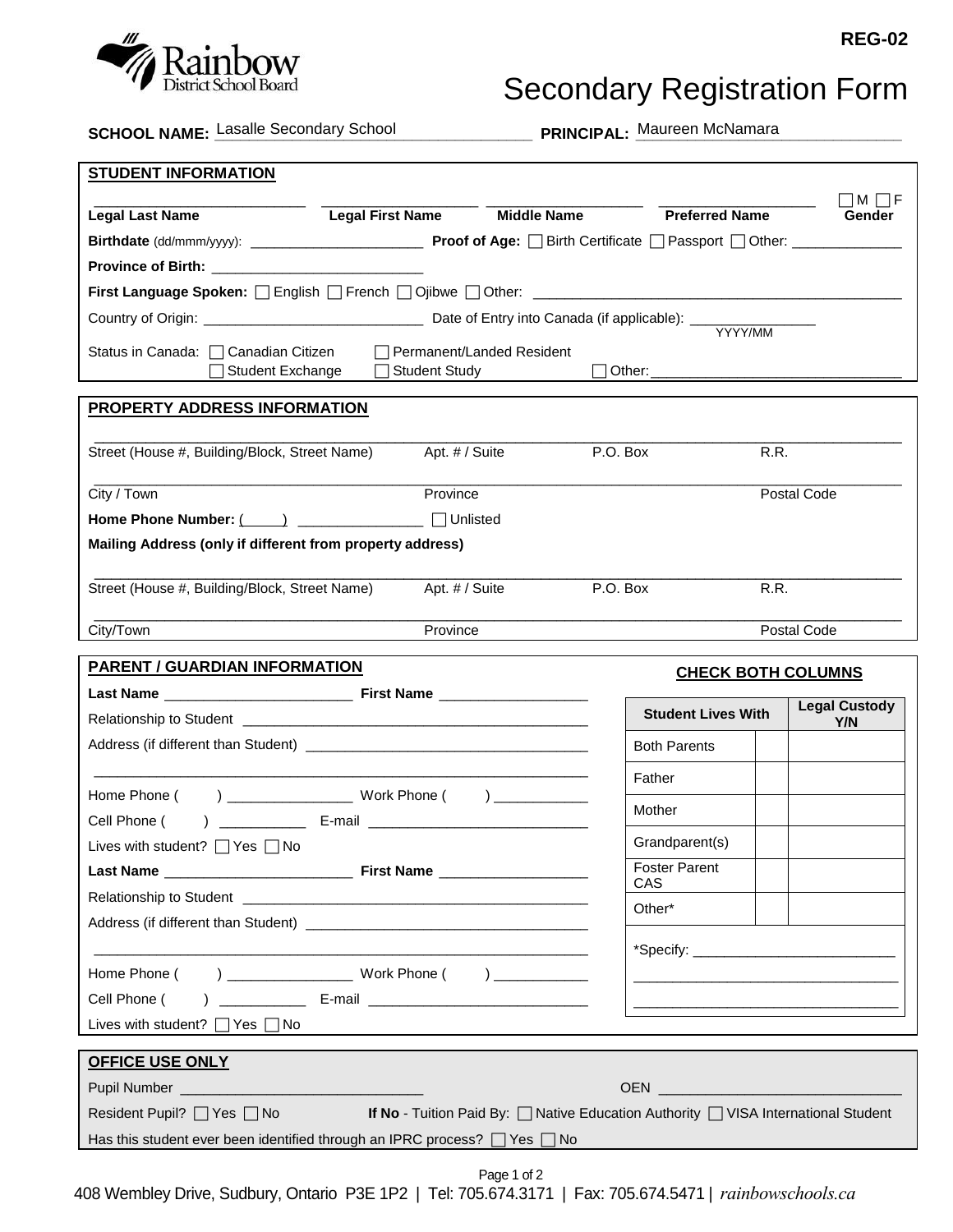

## Secondary Registration Form

**SCHOOL NAME:** Lasalle Secondary School

PRINCIPAL: Maureen McNamara

| IM I IF<br><b>Preferred Name</b><br><b>Middle Name</b><br><b>Legal First Name</b><br><b>Legal Last Name</b><br>Gender<br>First Language Spoken: English French Diplowe Dother: ___________________________<br>YYYY/MM<br>□ Permanent/Landed Resident<br>Status in Canada: □ Canadian Citizen<br>Student Exchange<br><b>Student Study</b><br>PROPERTY ADDRESS INFORMATION<br>P.O. Box<br>Street (House #, Building/Block, Street Name)<br>Apt. # / Suite<br>R.R.<br>City / Town<br>Postal Code<br>Province<br>Home Phone Number: ( ) ______________ □ Unlisted<br>Mailing Address (only if different from property address)<br>Apt. # / Suite<br>P.O. Box<br>R.R.<br>Street (House #, Building/Block, Street Name)<br>Province<br>Postal Code<br>City/Town<br><b>PARENT / GUARDIAN INFORMATION</b><br><b>CHECK BOTH COLUMNS</b><br><b>Legal Custody</b><br><b>Student Lives With</b><br>Y/N<br><b>Both Parents</b><br>Father<br>) _________________________ Work Phone ( ) _____________<br>Home Phone (<br>Mother<br>Cell Phone (<br>Grandparent(s)<br>Lives with student? $\Box$ Yes $\Box$ No<br><b>Foster Parent</b><br>CAS<br>Other*<br><u> 1989 - Johann Stoff, amerikansk politiker (d. 1989)</u><br>Home Phone ( ) _________________ Work Phone ( ) ___________<br><u> 1989 - Johann John Stone, mars et al. (</u><br>) ______________ E-mail ___________________________________<br>Cell Phone (<br><u> 1989 - Johann Harry Harry Harry Harry Harry Harry Harry Harry Harry Harry Harry Harry Harry Harry Harry Harry Harry Harry Harry Harry Harry Harry Harry Harry Harry Harry Harry Harry Harry Harry Harry Harry Harry Harry Ha</u><br>Lives with student? $\Box$ Yes $\Box$ No<br><b>OFFICE USE ONLY</b><br>Resident Pupil? □ Yes □ No<br>If No - Tuition Paid By: $\Box$ Native Education Authority $\Box$ VISA International Student<br>Has this student ever been identified through an IPRC process? $\Box$ Yes $\Box$ No<br>Page 1 of 2 | <b>STUDENT INFORMATION</b> |  |  |  |  |  |  |  |
|------------------------------------------------------------------------------------------------------------------------------------------------------------------------------------------------------------------------------------------------------------------------------------------------------------------------------------------------------------------------------------------------------------------------------------------------------------------------------------------------------------------------------------------------------------------------------------------------------------------------------------------------------------------------------------------------------------------------------------------------------------------------------------------------------------------------------------------------------------------------------------------------------------------------------------------------------------------------------------------------------------------------------------------------------------------------------------------------------------------------------------------------------------------------------------------------------------------------------------------------------------------------------------------------------------------------------------------------------------------------------------------------------------------------------------------------------------------------------------------------------------------------------------------------------------------------------------------------------------------------------------------------------------------------------------------------------------------------------------------------------------------------------------------------------------------------------------------------------------------------------------------------------------------------------------------------------------|----------------------------|--|--|--|--|--|--|--|
|                                                                                                                                                                                                                                                                                                                                                                                                                                                                                                                                                                                                                                                                                                                                                                                                                                                                                                                                                                                                                                                                                                                                                                                                                                                                                                                                                                                                                                                                                                                                                                                                                                                                                                                                                                                                                                                                                                                                                            |                            |  |  |  |  |  |  |  |
|                                                                                                                                                                                                                                                                                                                                                                                                                                                                                                                                                                                                                                                                                                                                                                                                                                                                                                                                                                                                                                                                                                                                                                                                                                                                                                                                                                                                                                                                                                                                                                                                                                                                                                                                                                                                                                                                                                                                                            |                            |  |  |  |  |  |  |  |
|                                                                                                                                                                                                                                                                                                                                                                                                                                                                                                                                                                                                                                                                                                                                                                                                                                                                                                                                                                                                                                                                                                                                                                                                                                                                                                                                                                                                                                                                                                                                                                                                                                                                                                                                                                                                                                                                                                                                                            |                            |  |  |  |  |  |  |  |
|                                                                                                                                                                                                                                                                                                                                                                                                                                                                                                                                                                                                                                                                                                                                                                                                                                                                                                                                                                                                                                                                                                                                                                                                                                                                                                                                                                                                                                                                                                                                                                                                                                                                                                                                                                                                                                                                                                                                                            |                            |  |  |  |  |  |  |  |
|                                                                                                                                                                                                                                                                                                                                                                                                                                                                                                                                                                                                                                                                                                                                                                                                                                                                                                                                                                                                                                                                                                                                                                                                                                                                                                                                                                                                                                                                                                                                                                                                                                                                                                                                                                                                                                                                                                                                                            |                            |  |  |  |  |  |  |  |
|                                                                                                                                                                                                                                                                                                                                                                                                                                                                                                                                                                                                                                                                                                                                                                                                                                                                                                                                                                                                                                                                                                                                                                                                                                                                                                                                                                                                                                                                                                                                                                                                                                                                                                                                                                                                                                                                                                                                                            |                            |  |  |  |  |  |  |  |
|                                                                                                                                                                                                                                                                                                                                                                                                                                                                                                                                                                                                                                                                                                                                                                                                                                                                                                                                                                                                                                                                                                                                                                                                                                                                                                                                                                                                                                                                                                                                                                                                                                                                                                                                                                                                                                                                                                                                                            |                            |  |  |  |  |  |  |  |
|                                                                                                                                                                                                                                                                                                                                                                                                                                                                                                                                                                                                                                                                                                                                                                                                                                                                                                                                                                                                                                                                                                                                                                                                                                                                                                                                                                                                                                                                                                                                                                                                                                                                                                                                                                                                                                                                                                                                                            |                            |  |  |  |  |  |  |  |
|                                                                                                                                                                                                                                                                                                                                                                                                                                                                                                                                                                                                                                                                                                                                                                                                                                                                                                                                                                                                                                                                                                                                                                                                                                                                                                                                                                                                                                                                                                                                                                                                                                                                                                                                                                                                                                                                                                                                                            |                            |  |  |  |  |  |  |  |
|                                                                                                                                                                                                                                                                                                                                                                                                                                                                                                                                                                                                                                                                                                                                                                                                                                                                                                                                                                                                                                                                                                                                                                                                                                                                                                                                                                                                                                                                                                                                                                                                                                                                                                                                                                                                                                                                                                                                                            |                            |  |  |  |  |  |  |  |
|                                                                                                                                                                                                                                                                                                                                                                                                                                                                                                                                                                                                                                                                                                                                                                                                                                                                                                                                                                                                                                                                                                                                                                                                                                                                                                                                                                                                                                                                                                                                                                                                                                                                                                                                                                                                                                                                                                                                                            |                            |  |  |  |  |  |  |  |
|                                                                                                                                                                                                                                                                                                                                                                                                                                                                                                                                                                                                                                                                                                                                                                                                                                                                                                                                                                                                                                                                                                                                                                                                                                                                                                                                                                                                                                                                                                                                                                                                                                                                                                                                                                                                                                                                                                                                                            |                            |  |  |  |  |  |  |  |
|                                                                                                                                                                                                                                                                                                                                                                                                                                                                                                                                                                                                                                                                                                                                                                                                                                                                                                                                                                                                                                                                                                                                                                                                                                                                                                                                                                                                                                                                                                                                                                                                                                                                                                                                                                                                                                                                                                                                                            |                            |  |  |  |  |  |  |  |
|                                                                                                                                                                                                                                                                                                                                                                                                                                                                                                                                                                                                                                                                                                                                                                                                                                                                                                                                                                                                                                                                                                                                                                                                                                                                                                                                                                                                                                                                                                                                                                                                                                                                                                                                                                                                                                                                                                                                                            |                            |  |  |  |  |  |  |  |
|                                                                                                                                                                                                                                                                                                                                                                                                                                                                                                                                                                                                                                                                                                                                                                                                                                                                                                                                                                                                                                                                                                                                                                                                                                                                                                                                                                                                                                                                                                                                                                                                                                                                                                                                                                                                                                                                                                                                                            |                            |  |  |  |  |  |  |  |
|                                                                                                                                                                                                                                                                                                                                                                                                                                                                                                                                                                                                                                                                                                                                                                                                                                                                                                                                                                                                                                                                                                                                                                                                                                                                                                                                                                                                                                                                                                                                                                                                                                                                                                                                                                                                                                                                                                                                                            |                            |  |  |  |  |  |  |  |
|                                                                                                                                                                                                                                                                                                                                                                                                                                                                                                                                                                                                                                                                                                                                                                                                                                                                                                                                                                                                                                                                                                                                                                                                                                                                                                                                                                                                                                                                                                                                                                                                                                                                                                                                                                                                                                                                                                                                                            |                            |  |  |  |  |  |  |  |
|                                                                                                                                                                                                                                                                                                                                                                                                                                                                                                                                                                                                                                                                                                                                                                                                                                                                                                                                                                                                                                                                                                                                                                                                                                                                                                                                                                                                                                                                                                                                                                                                                                                                                                                                                                                                                                                                                                                                                            |                            |  |  |  |  |  |  |  |
|                                                                                                                                                                                                                                                                                                                                                                                                                                                                                                                                                                                                                                                                                                                                                                                                                                                                                                                                                                                                                                                                                                                                                                                                                                                                                                                                                                                                                                                                                                                                                                                                                                                                                                                                                                                                                                                                                                                                                            |                            |  |  |  |  |  |  |  |
|                                                                                                                                                                                                                                                                                                                                                                                                                                                                                                                                                                                                                                                                                                                                                                                                                                                                                                                                                                                                                                                                                                                                                                                                                                                                                                                                                                                                                                                                                                                                                                                                                                                                                                                                                                                                                                                                                                                                                            |                            |  |  |  |  |  |  |  |
|                                                                                                                                                                                                                                                                                                                                                                                                                                                                                                                                                                                                                                                                                                                                                                                                                                                                                                                                                                                                                                                                                                                                                                                                                                                                                                                                                                                                                                                                                                                                                                                                                                                                                                                                                                                                                                                                                                                                                            |                            |  |  |  |  |  |  |  |
|                                                                                                                                                                                                                                                                                                                                                                                                                                                                                                                                                                                                                                                                                                                                                                                                                                                                                                                                                                                                                                                                                                                                                                                                                                                                                                                                                                                                                                                                                                                                                                                                                                                                                                                                                                                                                                                                                                                                                            |                            |  |  |  |  |  |  |  |
|                                                                                                                                                                                                                                                                                                                                                                                                                                                                                                                                                                                                                                                                                                                                                                                                                                                                                                                                                                                                                                                                                                                                                                                                                                                                                                                                                                                                                                                                                                                                                                                                                                                                                                                                                                                                                                                                                                                                                            |                            |  |  |  |  |  |  |  |
|                                                                                                                                                                                                                                                                                                                                                                                                                                                                                                                                                                                                                                                                                                                                                                                                                                                                                                                                                                                                                                                                                                                                                                                                                                                                                                                                                                                                                                                                                                                                                                                                                                                                                                                                                                                                                                                                                                                                                            |                            |  |  |  |  |  |  |  |
|                                                                                                                                                                                                                                                                                                                                                                                                                                                                                                                                                                                                                                                                                                                                                                                                                                                                                                                                                                                                                                                                                                                                                                                                                                                                                                                                                                                                                                                                                                                                                                                                                                                                                                                                                                                                                                                                                                                                                            |                            |  |  |  |  |  |  |  |
|                                                                                                                                                                                                                                                                                                                                                                                                                                                                                                                                                                                                                                                                                                                                                                                                                                                                                                                                                                                                                                                                                                                                                                                                                                                                                                                                                                                                                                                                                                                                                                                                                                                                                                                                                                                                                                                                                                                                                            |                            |  |  |  |  |  |  |  |
|                                                                                                                                                                                                                                                                                                                                                                                                                                                                                                                                                                                                                                                                                                                                                                                                                                                                                                                                                                                                                                                                                                                                                                                                                                                                                                                                                                                                                                                                                                                                                                                                                                                                                                                                                                                                                                                                                                                                                            |                            |  |  |  |  |  |  |  |
|                                                                                                                                                                                                                                                                                                                                                                                                                                                                                                                                                                                                                                                                                                                                                                                                                                                                                                                                                                                                                                                                                                                                                                                                                                                                                                                                                                                                                                                                                                                                                                                                                                                                                                                                                                                                                                                                                                                                                            |                            |  |  |  |  |  |  |  |
|                                                                                                                                                                                                                                                                                                                                                                                                                                                                                                                                                                                                                                                                                                                                                                                                                                                                                                                                                                                                                                                                                                                                                                                                                                                                                                                                                                                                                                                                                                                                                                                                                                                                                                                                                                                                                                                                                                                                                            |                            |  |  |  |  |  |  |  |
|                                                                                                                                                                                                                                                                                                                                                                                                                                                                                                                                                                                                                                                                                                                                                                                                                                                                                                                                                                                                                                                                                                                                                                                                                                                                                                                                                                                                                                                                                                                                                                                                                                                                                                                                                                                                                                                                                                                                                            |                            |  |  |  |  |  |  |  |
|                                                                                                                                                                                                                                                                                                                                                                                                                                                                                                                                                                                                                                                                                                                                                                                                                                                                                                                                                                                                                                                                                                                                                                                                                                                                                                                                                                                                                                                                                                                                                                                                                                                                                                                                                                                                                                                                                                                                                            |                            |  |  |  |  |  |  |  |
|                                                                                                                                                                                                                                                                                                                                                                                                                                                                                                                                                                                                                                                                                                                                                                                                                                                                                                                                                                                                                                                                                                                                                                                                                                                                                                                                                                                                                                                                                                                                                                                                                                                                                                                                                                                                                                                                                                                                                            |                            |  |  |  |  |  |  |  |
|                                                                                                                                                                                                                                                                                                                                                                                                                                                                                                                                                                                                                                                                                                                                                                                                                                                                                                                                                                                                                                                                                                                                                                                                                                                                                                                                                                                                                                                                                                                                                                                                                                                                                                                                                                                                                                                                                                                                                            |                            |  |  |  |  |  |  |  |
|                                                                                                                                                                                                                                                                                                                                                                                                                                                                                                                                                                                                                                                                                                                                                                                                                                                                                                                                                                                                                                                                                                                                                                                                                                                                                                                                                                                                                                                                                                                                                                                                                                                                                                                                                                                                                                                                                                                                                            |                            |  |  |  |  |  |  |  |
|                                                                                                                                                                                                                                                                                                                                                                                                                                                                                                                                                                                                                                                                                                                                                                                                                                                                                                                                                                                                                                                                                                                                                                                                                                                                                                                                                                                                                                                                                                                                                                                                                                                                                                                                                                                                                                                                                                                                                            |                            |  |  |  |  |  |  |  |
|                                                                                                                                                                                                                                                                                                                                                                                                                                                                                                                                                                                                                                                                                                                                                                                                                                                                                                                                                                                                                                                                                                                                                                                                                                                                                                                                                                                                                                                                                                                                                                                                                                                                                                                                                                                                                                                                                                                                                            |                            |  |  |  |  |  |  |  |

408 Wembley Drive, Sudbury, Ontario P3E 1P2 | Tel: 705.674.3171 | Fax: 705.674.5471 | *rainbowschools.ca*